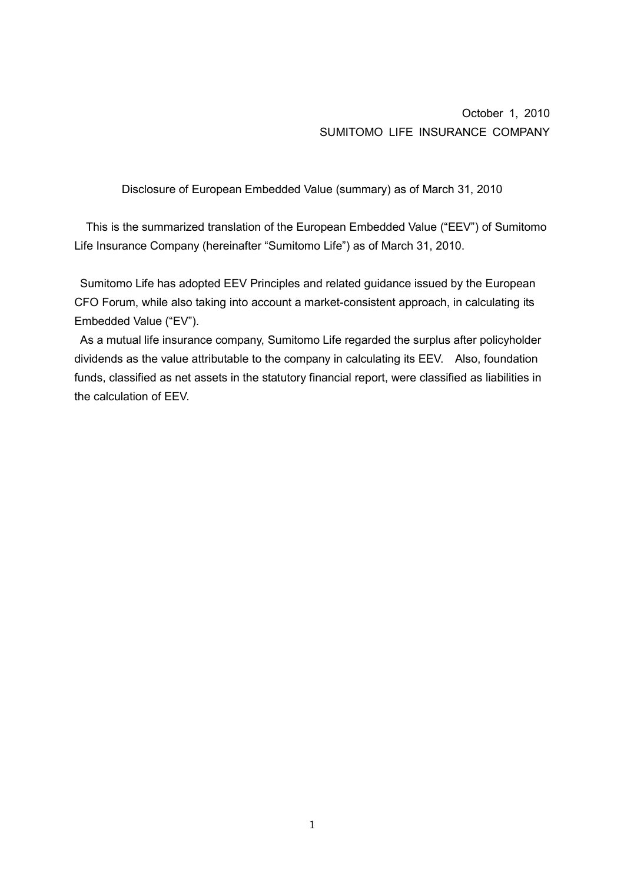October 1, 2010 SUMITOMO LIFE INSURANCE COMPANY

Disclosure of European Embedded Value (summary) as of March 31, 2010

This is the summarized translation of the European Embedded Value ("EEV") of Sumitomo Life Insurance Company (hereinafter "Sumitomo Life") as of March 31, 2010.

 Sumitomo Life has adopted EEV Principles and related guidance issued by the European CFO Forum, while also taking into account a market-consistent approach, in calculating its Embedded Value ("EV").

 As a mutual life insurance company, Sumitomo Life regarded the surplus after policyholder dividends as the value attributable to the company in calculating its EEV. Also, foundation funds, classified as net assets in the statutory financial report, were classified as liabilities in the calculation of EEV.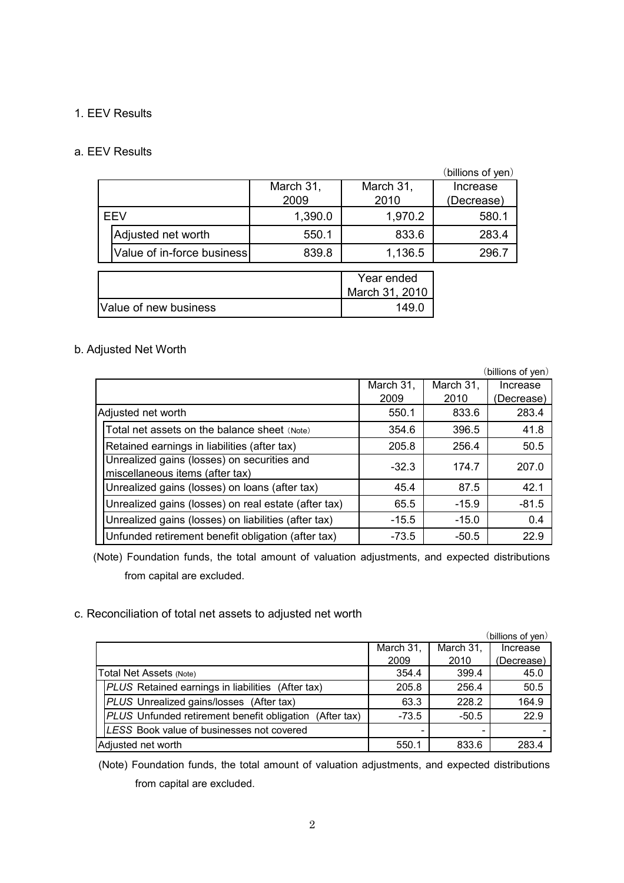## 1. EEV Results

#### a. EEV Results

|                       |                            |           |                | (billions of yen) |
|-----------------------|----------------------------|-----------|----------------|-------------------|
|                       |                            | March 31, | March 31,      | Increase          |
|                       |                            | 2009      | 2010           | (Decrease)        |
| EEV                   |                            | 1,390.0   | 1,970.2        | 580.1             |
|                       | Adjusted net worth         | 550.1     | 833.6          | 283.4             |
|                       | Value of in-force business | 839.8     | 1,136.5        | 296.7             |
|                       |                            |           |                |                   |
|                       |                            |           | Year ended     |                   |
|                       |                            |           | March 31, 2010 |                   |
| Value of new business |                            |           | 149.0          |                   |

# b. Adjusted Net Worth

|                                                                                |                                    |         | (billions of yen) |  |  |
|--------------------------------------------------------------------------------|------------------------------------|---------|-------------------|--|--|
|                                                                                | March 31,<br>March 31,<br>Increase |         |                   |  |  |
|                                                                                | 2009                               | 2010    | (Decrease)        |  |  |
| Adjusted net worth                                                             | 550.1                              | 833.6   | 283.4             |  |  |
| Total net assets on the balance sheet (Note)                                   | 354.6                              | 396.5   | 41.8              |  |  |
| Retained earnings in liabilities (after tax)                                   | 205.8                              | 256.4   | 50.5              |  |  |
| Unrealized gains (losses) on securities and<br>miscellaneous items (after tax) | $-32.3$                            | 174.7   | 207.0             |  |  |
| Unrealized gains (losses) on loans (after tax)                                 | 45.4                               | 87.5    | 42.1              |  |  |
| Unrealized gains (losses) on real estate (after tax)                           | 65.5                               | $-15.9$ | $-81.5$           |  |  |
| Unrealized gains (losses) on liabilities (after tax)                           | $-15.5$                            | $-15.0$ | 0.4               |  |  |
| Unfunded retirement benefit obligation (after tax)                             | -73.5                              | $-50.5$ | 22.9              |  |  |

(Note) Foundation funds, the total amount of valuation adjustments, and expected distributions from capital are excluded.

# c. Reconciliation of total net assets to adjusted net worth

|                                                         |           |           | (billions of yen) |
|---------------------------------------------------------|-----------|-----------|-------------------|
|                                                         | March 31, | March 31, | Increase          |
|                                                         | 2009      | 2010      | (Decrease)        |
| Total Net Assets (Note)                                 | 354.4     | 399.4     | 45.0              |
| PLUS Retained earnings in liabilities (After tax)       | 205.8     | 256.4     | 50.5              |
| PLUS Unrealized gains/losses (After tax)                | 63.3      | 228.2     | 164.9             |
| PLUS Unfunded retirement benefit obligation (After tax) | $-73.5$   | $-50.5$   | 22.9              |
| LESS Book value of businesses not covered               |           |           |                   |
| Adjusted net worth                                      | 550.1     | 833.6     | 283.4             |

 (Note) Foundation funds, the total amount of valuation adjustments, and expected distributions from capital are excluded.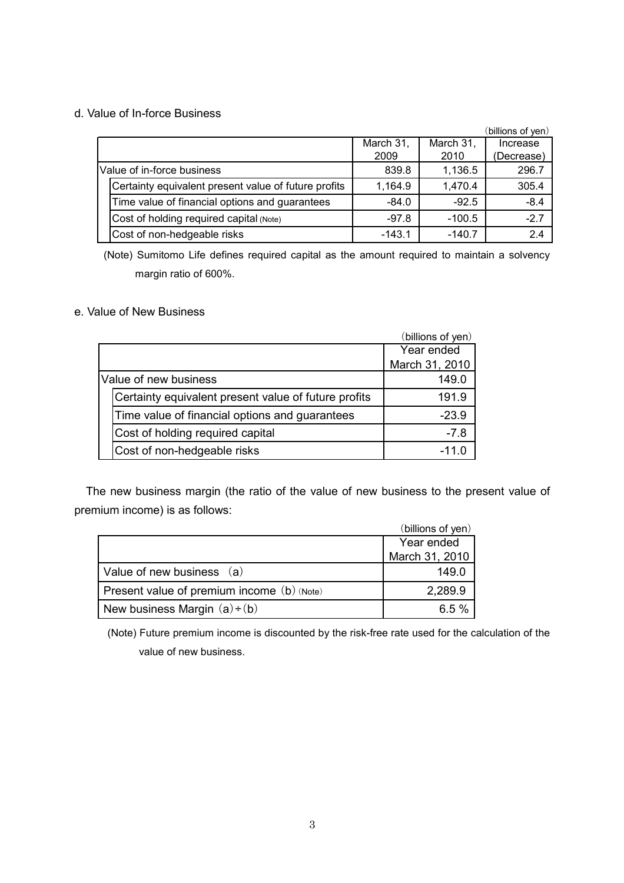# d. Value of In-force Business

|  |                                                      |           |           | (billions of ven) |
|--|------------------------------------------------------|-----------|-----------|-------------------|
|  |                                                      | March 31, | March 31, | Increase          |
|  |                                                      | 2009      | 2010      | (Decrease)        |
|  | Value of in-force business                           | 839.8     | 1,136.5   | 296.7             |
|  | Certainty equivalent present value of future profits | 1,164.9   | 1,470.4   | 305.4             |
|  | Time value of financial options and guarantees       | $-84.0$   | $-92.5$   | $-8.4$            |
|  | Cost of holding required capital (Note)              | $-97.8$   | $-100.5$  | $-2.7$            |
|  | Cost of non-hedgeable risks                          | $-143.1$  | $-140.7$  | 2.4               |

(Note) Sumitomo Life defines required capital as the amount required to maintain a solvency margin ratio of 600%.

# e. Value of New Business

|                                                      | (billions of yen) |
|------------------------------------------------------|-------------------|
|                                                      | Year ended        |
|                                                      | March 31, 2010    |
| Value of new business                                | 149.0             |
| Certainty equivalent present value of future profits | 191.9             |
| Time value of financial options and guarantees       | $-23.9$           |
| Cost of holding required capital                     | $-7.8$            |
| Cost of non-hedgeable risks                          | $-11.0$           |

The new business margin (the ratio of the value of new business to the present value of premium income) is as follows:

|                                            | (billions of yen) |
|--------------------------------------------|-------------------|
|                                            | Year ended        |
|                                            | March 31, 2010    |
| Value of new business (a)                  | 149.0             |
| Present value of premium income (b) (Note) | 2,289.9           |
| New business Margin $(a)+(b)$              | 6.5%              |

(Note) Future premium income is discounted by the risk-free rate used for the calculation of the value of new business.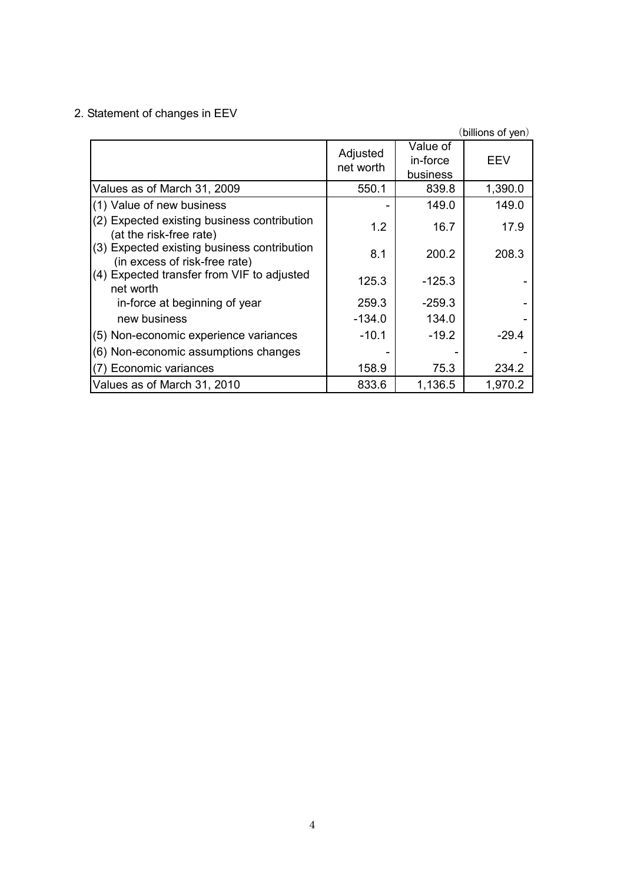# 2. Statement of changes in EEV

|                                                                              |                       |                                  | (billions of yen) |
|------------------------------------------------------------------------------|-----------------------|----------------------------------|-------------------|
|                                                                              | Adjusted<br>net worth | Value of<br>in-force<br>business | EEV               |
| Values as of March 31, 2009                                                  | 550.1                 | 839.8                            | 1,390.0           |
| (1) Value of new business                                                    |                       | 149.0                            | 149.0             |
| (2) Expected existing business contribution<br>(at the risk-free rate)       | 1.2                   | 16.7                             | 17.9              |
| (3) Expected existing business contribution<br>(in excess of risk-free rate) | 8.1                   | 200.2                            | 208.3             |
| (4) Expected transfer from VIF to adjusted<br>net worth                      | 125.3                 | $-125.3$                         |                   |
| in-force at beginning of year                                                | 259.3                 | $-259.3$                         |                   |
| new business                                                                 | -134.0                | 134.0                            |                   |
| (5) Non-economic experience variances                                        | $-10.1$               | $-19.2$                          | $-29.4$           |
| (6) Non-economic assumptions changes                                         |                       |                                  |                   |
| (7) Economic variances                                                       | 158.9                 | 75.3                             | 234.2             |
| Values as of March 31, 2010                                                  | 833.6                 | 1,136.5                          | 1,970.2           |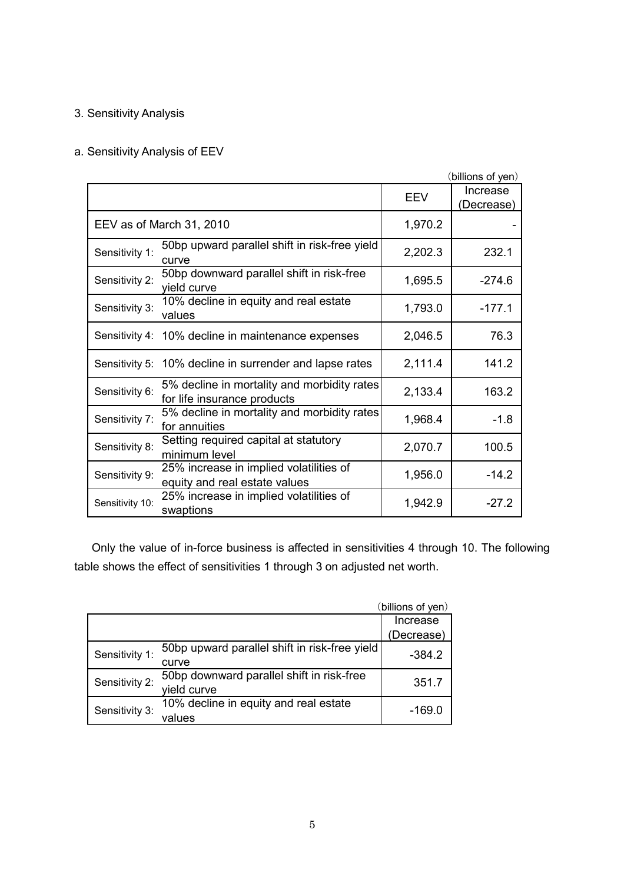# 3. Sensitivity Analysis

# a. Sensitivity Analysis of EEV

|                 |                                                                            |            | (billions of yen)      |
|-----------------|----------------------------------------------------------------------------|------------|------------------------|
|                 |                                                                            | <b>EEV</b> | Increase<br>(Decrease) |
|                 | EEV as of March 31, 2010                                                   | 1,970.2    |                        |
| Sensitivity 1:  | 50bp upward parallel shift in risk-free yield<br>curve                     | 2,202.3    | 232.1                  |
| Sensitivity 2:  | 50bp downward parallel shift in risk-free<br>yield curve                   | 1,695.5    | $-274.6$               |
| Sensitivity 3:  | 10% decline in equity and real estate<br>values                            | 1,793.0    | $-177.1$               |
|                 | Sensitivity 4: 10% decline in maintenance expenses                         | 2,046.5    | 76.3                   |
|                 | Sensitivity 5: 10% decline in surrender and lapse rates                    | 2,111.4    | 141.2                  |
| Sensitivity 6:  | 5% decline in mortality and morbidity rates<br>for life insurance products | 2,133.4    | 163.2                  |
| Sensitivity 7:  | 5% decline in mortality and morbidity rates<br>for annuities               | 1,968.4    | $-1.8$                 |
| Sensitivity 8:  | Setting required capital at statutory<br>minimum level                     | 2,070.7    | 100.5                  |
| Sensitivity 9:  | 25% increase in implied volatilities of<br>equity and real estate values   | 1,956.0    | $-14.2$                |
| Sensitivity 10: | 25% increase in implied volatilities of<br>swaptions                       | 1,942.9    | $-27.2$                |

 Only the value of in-force business is affected in sensitivities 4 through 10. The following table shows the effect of sensitivities 1 through 3 on adjusted net worth.

|                |                                               | (billions of yen) |
|----------------|-----------------------------------------------|-------------------|
|                |                                               | Increase          |
|                |                                               | (Decrease)        |
| Sensitivity 1: | 50bp upward parallel shift in risk-free yield | $-384.2$          |
|                | curve                                         |                   |
| Sensitivity 2: | 50bp downward parallel shift in risk-free     | 351.7             |
|                | vield curve                                   |                   |
| Sensitivity 3: | 10% decline in equity and real estate         | -169.0            |
|                | values                                        |                   |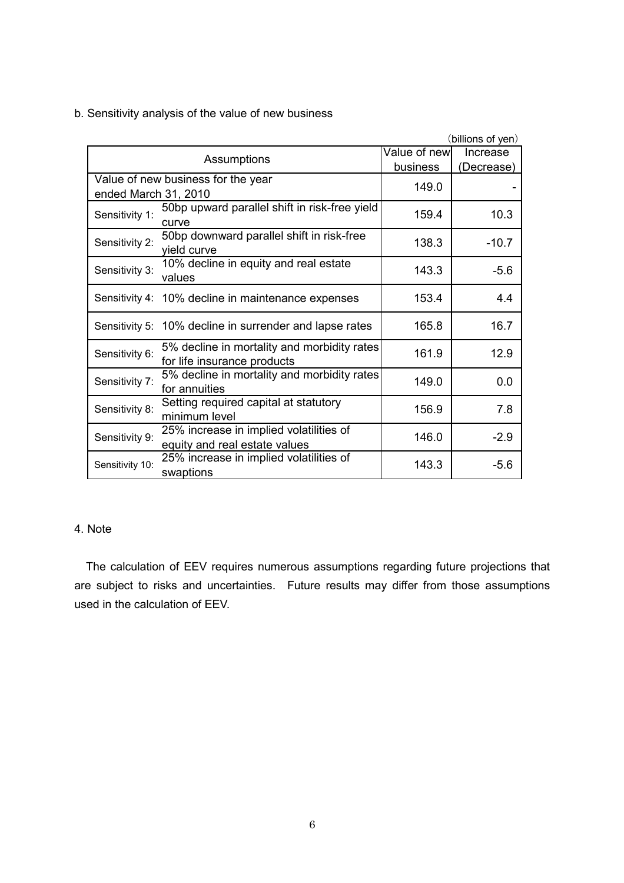b. Sensitivity analysis of the value of new business

| (billions of yen)    |                                                         |              |            |  |  |
|----------------------|---------------------------------------------------------|--------------|------------|--|--|
|                      |                                                         | Value of new | Increase   |  |  |
|                      | Assumptions                                             | business     | (Decrease) |  |  |
|                      | Value of new business for the year                      | 149.0        |            |  |  |
| ended March 31, 2010 |                                                         |              |            |  |  |
| Sensitivity 1:       | 50bp upward parallel shift in risk-free yield           | 159.4        |            |  |  |
|                      | curve                                                   |              | 10.3       |  |  |
| Sensitivity 2:       | 50bp downward parallel shift in risk-free               | 138.3        | $-10.7$    |  |  |
|                      | yield curve                                             |              |            |  |  |
|                      | 10% decline in equity and real estate                   | 143.3        | $-5.6$     |  |  |
| Sensitivity 3:       | values                                                  |              |            |  |  |
|                      |                                                         | 153.4        | 4.4        |  |  |
|                      | Sensitivity 4: 10% decline in maintenance expenses      |              |            |  |  |
|                      | Sensitivity 5: 10% decline in surrender and lapse rates | 165.8        | 16.7       |  |  |
|                      |                                                         |              |            |  |  |
| Sensitivity 6:       | 5% decline in mortality and morbidity rates             | 161.9        | 12.9       |  |  |
|                      | for life insurance products                             |              |            |  |  |
| Sensitivity 7:       | 5% decline in mortality and morbidity rates             | 149.0        | 0.0        |  |  |
|                      | for annuities                                           |              |            |  |  |
| Sensitivity 8:       | Setting required capital at statutory                   | 156.9        | 7.8        |  |  |
|                      | minimum level                                           |              |            |  |  |
|                      | 25% increase in implied volatilities of                 |              |            |  |  |
| Sensitivity 9:       | equity and real estate values                           | 146.0        | $-2.9$     |  |  |
|                      | 25% increase in implied volatilities of                 |              |            |  |  |
| Sensitivity 10:      | swaptions                                               | 143.3        | $-5.6$     |  |  |

#### 4. Note

The calculation of EEV requires numerous assumptions regarding future projections that are subject to risks and uncertainties. Future results may differ from those assumptions used in the calculation of EEV.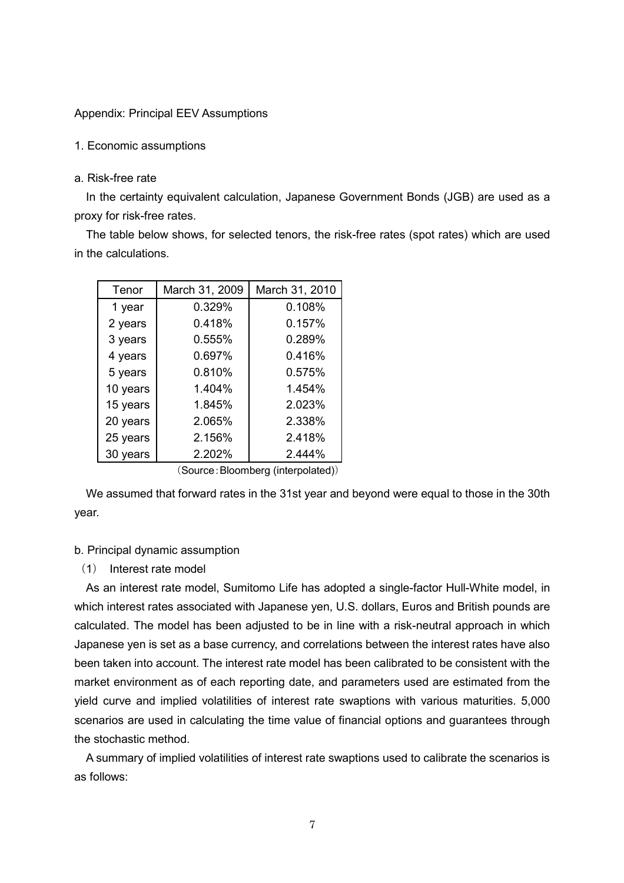#### Appendix: Principal EEV Assumptions

1. Economic assumptions

#### a. Risk-free rate

In the certainty equivalent calculation, Japanese Government Bonds (JGB) are used as a proxy for risk-free rates.

The table below shows, for selected tenors, the risk-free rates (spot rates) which are used in the calculations.

| Tenor    | March 31, 2009 | March 31, 2010 |
|----------|----------------|----------------|
| 1 year   | 0.329%         | 0.108%         |
| 2 years  | 0.418%         | 0.157%         |
| 3 years  | 0.555%         | 0.289%         |
| 4 years  | 0.697%         | 0.416%         |
| 5 years  | 0.810%         | 0.575%         |
| 10 years | 1.404%         | 1.454%         |
| 15 years | 1.845%         | 2.023%         |
| 20 years | 2.065%         | 2.338%         |
| 25 years | 2.156%         | 2.418%         |
| 30 years | 2.202%         | 2.444%         |

<sup>(</sup>Source:Bloomberg (interpolated))

We assumed that forward rates in the 31st year and beyond were equal to those in the 30th year.

#### b. Principal dynamic assumption

(1) Interest rate model

As an interest rate model, Sumitomo Life has adopted a single-factor Hull-White model, in which interest rates associated with Japanese yen, U.S. dollars, Euros and British pounds are calculated. The model has been adjusted to be in line with a risk-neutral approach in which Japanese yen is set as a base currency, and correlations between the interest rates have also been taken into account. The interest rate model has been calibrated to be consistent with the market environment as of each reporting date, and parameters used are estimated from the yield curve and implied volatilities of interest rate swaptions with various maturities. 5,000 scenarios are used in calculating the time value of financial options and guarantees through the stochastic method.

A summary of implied volatilities of interest rate swaptions used to calibrate the scenarios is as follows: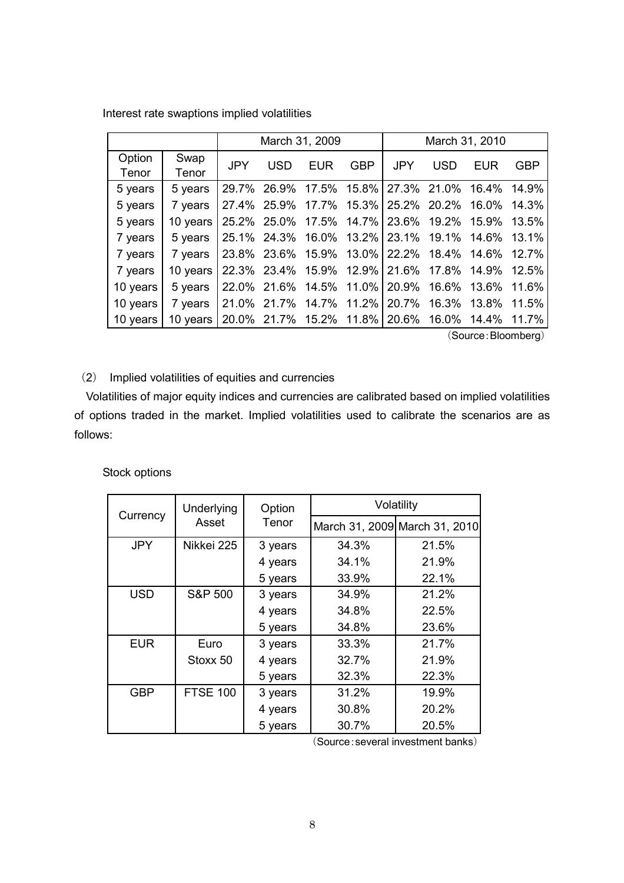|                 |                                                          | March 31, 2009                                    |                                     |     |            | March 31, 2010 |            |                                                 |             |
|-----------------|----------------------------------------------------------|---------------------------------------------------|-------------------------------------|-----|------------|----------------|------------|-------------------------------------------------|-------------|
| Option<br>Tenor | Swap<br>Tenor                                            | <b>JPY</b>                                        | <b>USD</b>                          | EUR | <b>GBP</b> | <b>JPY</b>     | <b>USD</b> | EUR                                             | <b>GBP</b>  |
| 5 years         | 5 years                                                  |                                                   |                                     |     |            |                |            | 29.7% 26.9% 17.5% 15.8% 27.3% 21.0% 16.4% 14.9% |             |
| 5 years         | 7 years                                                  |                                                   |                                     |     |            |                |            | 27.4% 25.9% 17.7% 15.3% 25.2% 20.2% 16.0% 14.3% |             |
| 5 years         | 10 years 25.2% 25.0% 17.5% 14.7% 23.6% 19.2% 15.9% 13.5% |                                                   |                                     |     |            |                |            |                                                 |             |
| 7 years         | 5 years                                                  | 25.1% 24.3% 16.0% 13.2%   23.1% 19.1% 14.6% 13.1% |                                     |     |            |                |            |                                                 |             |
| 7 years         | 7 years                                                  |                                                   |                                     |     |            |                |            | 23.8% 23.6% 15.9% 13.0% 22.2% 18.4% 14.6% 12.7% |             |
| 7 years         | 10 years 22.3% 23.4% 15.9% 12.9% 21.6% 17.8% 14.9% 12.5% |                                                   |                                     |     |            |                |            |                                                 |             |
| 10 years        | 5 years                                                  |                                                   | 22.0% 21.6% 14.5% 11.0% 20.9% 16.6% |     |            |                |            |                                                 | 13.6% 11.6% |
| 10 years        | 7 years                                                  |                                                   | 21.0% 21.7% 14.7% 11.2% 20.7% 16.3% |     |            |                |            |                                                 | 13.8% 11.5% |
| 10 years        | 10 years                                                 |                                                   |                                     |     |            |                |            | 20.0% 21.7% 15.2% 11.8% 20.6% 16.0% 14.4% 11.7% |             |

Interest rate swaptions implied volatilities

(Source:Bloomberg)

# (2) Implied volatilities of equities and currencies

Volatilities of major equity indices and currencies are calibrated based on implied volatilities of options traded in the market. Implied volatilities used to calibrate the scenarios are as follows:

Stock options

| Currency   | <b>Underlying</b>  | Option<br>Tenor | Volatility |                               |  |  |
|------------|--------------------|-----------------|------------|-------------------------------|--|--|
|            | Asset              |                 |            | March 31, 2009 March 31, 2010 |  |  |
| <b>JPY</b> | Nikkei 225         | 3 years         | 34.3%      | 21.5%                         |  |  |
|            |                    | 4 years         | 34.1%      | 21.9%                         |  |  |
|            |                    | 5 years         | 33.9%      | 22.1%                         |  |  |
| <b>USD</b> | <b>S&amp;P 500</b> | 3 years         | 34.9%      | 21.2%                         |  |  |
|            |                    | 4 years         | 34.8%      | 22.5%                         |  |  |
|            |                    | 5 years         | 34.8%      | 23.6%                         |  |  |
| <b>EUR</b> | Euro               | 3 years         | 33.3%      | 21.7%                         |  |  |
|            | Stoxx 50           | 4 years         | 32.7%      | 21.9%                         |  |  |
|            |                    | 5 years         | 32.3%      | 22.3%                         |  |  |
| <b>GBP</b> | <b>FTSE 100</b>    | 3 years         | 31.2%      | 19.9%                         |  |  |
|            |                    | 4 years         | 30.8%      | 20.2%                         |  |  |
|            |                    | 5 years         | 30.7%      | 20.5%                         |  |  |

(Source:several investment banks)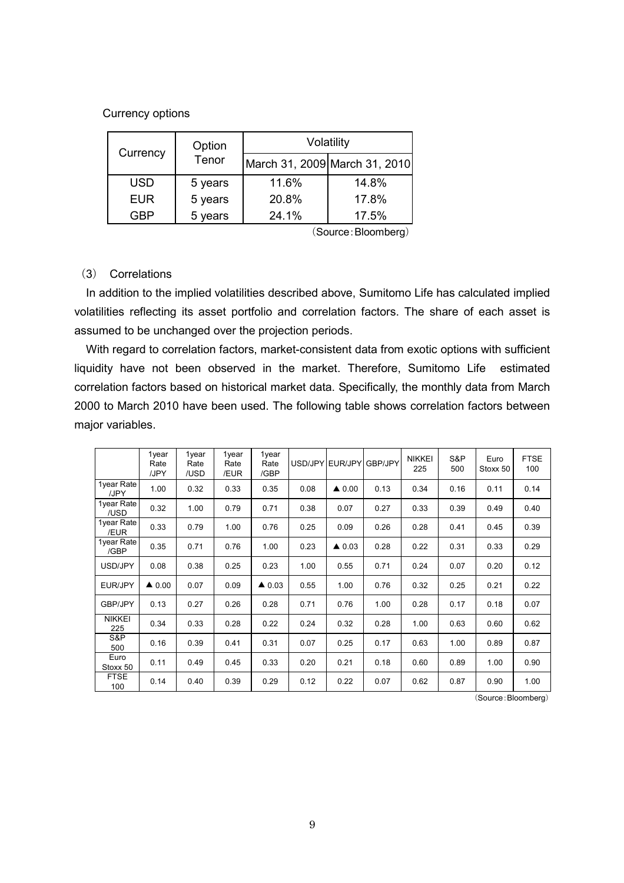#### Currency options

| Currency   | Option<br>Tenor | Volatility                    |       |  |  |  |
|------------|-----------------|-------------------------------|-------|--|--|--|
|            |                 | March 31, 2009 March 31, 2010 |       |  |  |  |
| <b>USD</b> | 5 years         | 11.6%                         | 14.8% |  |  |  |
| <b>EUR</b> | 5 years         | 20.8%                         | 17.8% |  |  |  |
| GRP        | 5 years         | 24.1%                         | 17.5% |  |  |  |

(Source:Bloomberg)

#### (3) Correlations

In addition to the implied volatilities described above, Sumitomo Life has calculated implied volatilities reflecting its asset portfolio and correlation factors. The share of each asset is assumed to be unchanged over the projection periods.

With regard to correlation factors, market-consistent data from exotic options with sufficient liquidity have not been observed in the market. Therefore, Sumitomo Life estimated correlation factors based on historical market data. Specifically, the monthly data from March 2000 to March 2010 have been used. The following table shows correlation factors between major variables.

|                      | 1year<br>Rate<br>/JPY | 1year<br>Rate<br>/USD | 1year<br>Rate<br>/EUR | 1year<br>Rate<br>/GBP |      | USD/JPYIEUR/JPYI | GBP/JPY | <b>NIKKEI</b><br>225 | S&P<br>500 | Euro<br>Stoxx 50 | <b>FTSE</b><br>100 |
|----------------------|-----------------------|-----------------------|-----------------------|-----------------------|------|------------------|---------|----------------------|------------|------------------|--------------------|
| 1year Rate<br>/JPY   | 1.00                  | 0.32                  | 0.33                  | 0.35                  | 0.08 | $\triangle$ 0.00 | 0.13    | 0.34                 | 0.16       | 0.11             | 0.14               |
| 1year Rate<br>/USD   | 0.32                  | 1.00                  | 0.79                  | 0.71                  | 0.38 | 0.07             | 0.27    | 0.33                 | 0.39       | 0.49             | 0.40               |
| 1year Rate<br>/EUR   | 0.33                  | 0.79                  | 1.00                  | 0.76                  | 0.25 | 0.09             | 0.26    | 0.28                 | 0.41       | 0.45             | 0.39               |
| 1year Rate<br>/GBP   | 0.35                  | 0.71                  | 0.76                  | 1.00                  | 0.23 | $\triangle$ 0.03 | 0.28    | 0.22                 | 0.31       | 0.33             | 0.29               |
| USD/JPY              | 0.08                  | 0.38                  | 0.25                  | 0.23                  | 1.00 | 0.55             | 0.71    | 0.24                 | 0.07       | 0.20             | 0.12               |
| EUR/JPY              | $\triangle$ 0.00      | 0.07                  | 0.09                  | $\triangle$ 0.03      | 0.55 | 1.00             | 0.76    | 0.32                 | 0.25       | 0.21             | 0.22               |
| GBP/JPY              | 0.13                  | 0.27                  | 0.26                  | 0.28                  | 0.71 | 0.76             | 1.00    | 0.28                 | 0.17       | 0.18             | 0.07               |
| <b>NIKKEI</b><br>225 | 0.34                  | 0.33                  | 0.28                  | 0.22                  | 0.24 | 0.32             | 0.28    | 1.00                 | 0.63       | 0.60             | 0.62               |
| S&P<br>500           | 0.16                  | 0.39                  | 0.41                  | 0.31                  | 0.07 | 0.25             | 0.17    | 0.63                 | 1.00       | 0.89             | 0.87               |
| Euro<br>Stoxx 50     | 0.11                  | 0.49                  | 0.45                  | 0.33                  | 0.20 | 0.21             | 0.18    | 0.60                 | 0.89       | 1.00             | 0.90               |
| <b>FTSE</b><br>100   | 0.14                  | 0.40                  | 0.39                  | 0.29                  | 0.12 | 0.22             | 0.07    | 0.62                 | 0.87       | 0.90             | 1.00               |

(Source:Bloomberg)